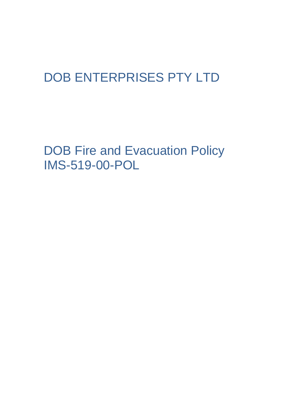## DOB ENTERPRISES PTY LTD

DOB Fire and Evacuation Policy IMS-519-00-POL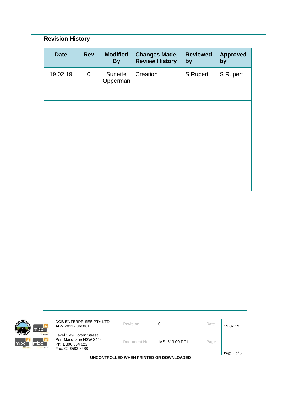## **Revision History**

| <b>Date</b> | <b>Rev</b>  | <b>Modified</b><br><b>By</b> | <b>Changes Made,</b><br><b>Review History</b> | <b>Reviewed</b><br>by | <b>Approved</b><br>by |
|-------------|-------------|------------------------------|-----------------------------------------------|-----------------------|-----------------------|
| 19.02.19    | $\mathbf 0$ | Sunette<br>Opperman          | Creation                                      | S Rupert              | <b>S</b> Rupert       |
|             |             |                              |                                               |                       |                       |
|             |             |                              |                                               |                       |                       |
|             |             |                              |                                               |                       |                       |
|             |             |                              |                                               |                       |                       |
|             |             |                              |                                               |                       |                       |
|             |             |                              |                                               |                       |                       |
|             |             |                              |                                               |                       |                       |
|             |             |                              |                                               |                       |                       |



**DOB ENTERPRISES PTY LTD**<br>ABN 20112 866001 **Revision 0 D Date** 19.02.19

Level 1 49 Horton Street Port Macquarie NSW 2444 Ph: 1 300 854 622 Fax: 02 6583 8468

**Document No** IMS -519-00-POL **Page**

**UNCONTROLLED WHEN PRINTED OR DOWNLOADED**

Page 2 of 3